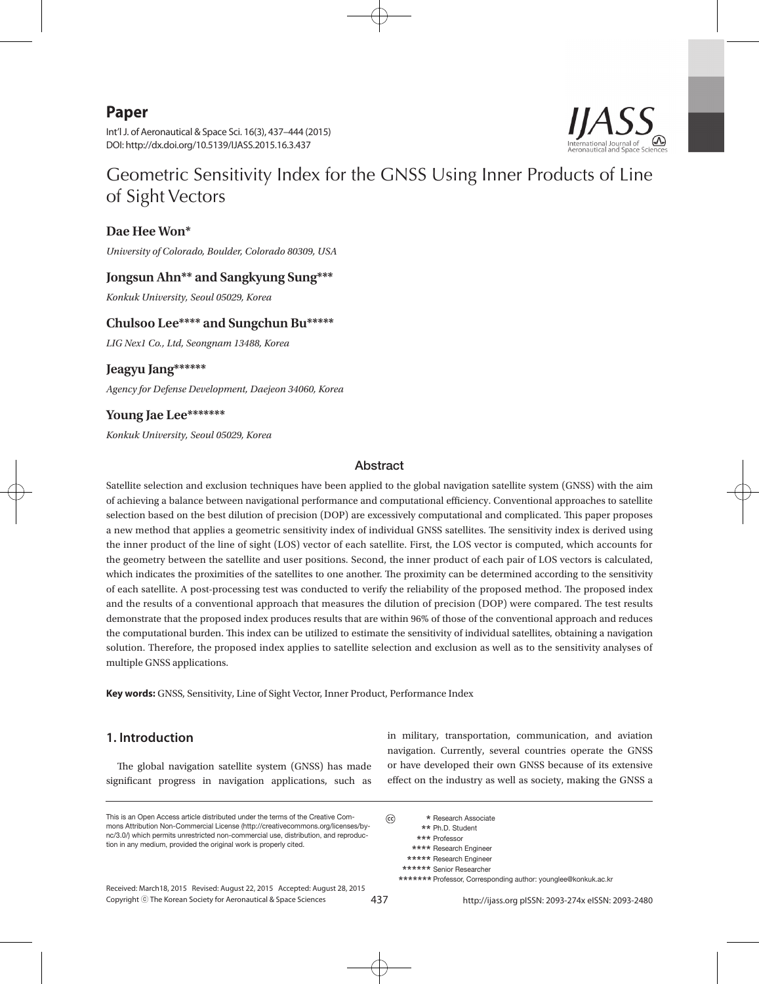# **Paper**

Int'l J. of Aeronautical & Space Sci. 16(3), 437–444 (2015) DOI: http://dx.doi.org/10.5139/IJASS.2015.16.3.437

# Geometric Sensitivity Index for the GNSS Using Inner Products of Line of Sight Vectors

#### **Dae Hee Won\***

*University of Colorado, Boulder, Colorado 80309, USA*

#### **Jongsun Ahn\*\* and Sangkyung Sung\*\*\***

*Konkuk University, Seoul 05029, Korea*

#### **Chulsoo Lee\*\*\*\* and Sungchun Bu\*\*\*\*\***

*LIG Nex1 Co., Ltd, Seongnam 13488, Korea*

# **Jeagyu Jang\*\*\*\*\*\***

*Agency for Defense Development, Daejeon 34060, Korea*

# **Young Jae Lee\*\*\*\*\*\*\***

*Konkuk University, Seoul 05029, Korea*

#### Abstract

Satellite selection and exclusion techniques have been applied to the global navigation satellite system (GNSS) with the aim of achieving a balance between navigational performance and computational efficiency. Conventional approaches to satellite selection based on the best dilution of precision (DOP) are excessively computational and complicated. This paper proposes a new method that applies a geometric sensitivity index of individual GNSS satellites. The sensitivity index is derived using the inner product of the line of sight (LOS) vector of each satellite. First, the LOS vector is computed, which accounts for the geometry between the satellite and user positions. Second, the inner product of each pair of LOS vectors is calculated, which indicates the proximities of the satellites to one another. The proximity can be determined according to the sensitivity of each satellite. A post-processing test was conducted to verify the reliability of the proposed method. The proposed index and the results of a conventional approach that measures the dilution of precision (DOP) were compared. The test results demonstrate that the proposed index produces results that are within 96% of those of the conventional approach and reduces the computational burden. This index can be utilized to estimate the sensitivity of individual satellites, obtaining a navigation solution. Therefore, the proposed index applies to satellite selection and exclusion as well as to the sensitivity analyses of multiple GNSS applications.

**Key words:** GNSS, Sensitivity, Line of Sight Vector, Inner Product, Performance Index

#### **1. Introduction**

The global navigation satellite system (GNSS) has made significant progress in navigation applications, such as

This is an Open Access article distributed under the terms of the Creative Commons Attribution Non-Commercial License (http://creativecommons.org/licenses/bync/3.0/) which permits unrestricted non-commercial use, distribution, and reproduction in any medium, provided the original work is properly cited.

Copyright ⓒ The Korean Society for Aeronautical & Space Sciences Received: March18, 2015 Revised: August 22, 2015 Accepted: August 28, 2015 in military, transportation, communication, and aviation navigation. Currently, several countries operate the GNSS or have developed their own GNSS because of its extensive effect on the industry as well as society, making the GNSS a

 $\odot$  **\*** Research Associate  **\*\*** Ph.D. Student  **\*\*\*** Professor  **\*\*\*\*** Research Engineer \*\*\*\*\* Research Engineer  **\*\*\*\*\*\*** Senior Researcher  **\*\*\*\*\*\*\*** Professor, Corresponding author: younglee@konkuk.ac.kr

437 http://ijass.org pISSN: 2093-274x eISSN: 2093-2480

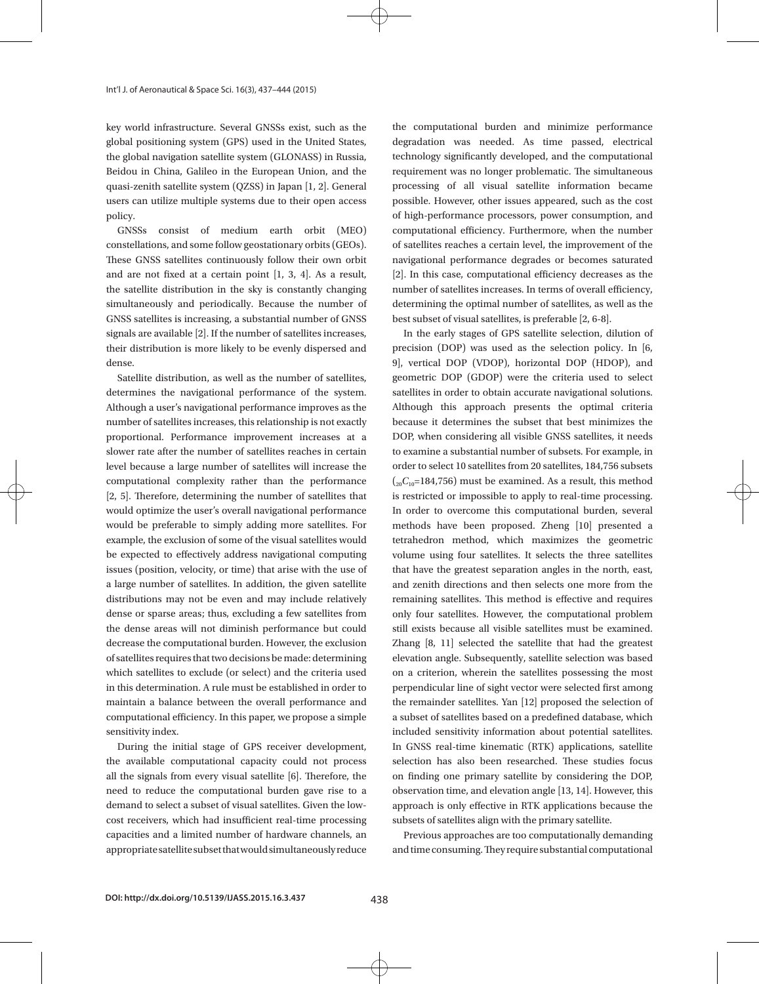key world infrastructure. Several GNSSs exist, such as the global positioning system (GPS) used in the United States, the global navigation satellite system (GLONASS) in Russia, Beidou in China, Galileo in the European Union, and the quasi-zenith satellite system (QZSS) in Japan [1, 2]. General users can utilize multiple systems due to their open access policy.

GNSSs consist of medium earth orbit (MEO) constellations, and some follow geostationary orbits (GEOs). These GNSS satellites continuously follow their own orbit and are not fixed at a certain point [1, 3, 4]. As a result, the satellite distribution in the sky is constantly changing simultaneously and periodically. Because the number of GNSS satellites is increasing, a substantial number of GNSS signals are available [2]. If the number of satellites increases, their distribution is more likely to be evenly dispersed and dense.

Satellite distribution, as well as the number of satellites, determines the navigational performance of the system. Although a user's navigational performance improves as the number of satellites increases, this relationship is not exactly proportional. Performance improvement increases at a slower rate after the number of satellites reaches in certain level because a large number of satellites will increase the computational complexity rather than the performance [2, 5]. Therefore, determining the number of satellites that would optimize the user's overall navigational performance would be preferable to simply adding more satellites. For example, the exclusion of some of the visual satellites would be expected to effectively address navigational computing issues (position, velocity, or time) that arise with the use of a large number of satellites. In addition, the given satellite distributions may not be even and may include relatively dense or sparse areas; thus, excluding a few satellites from the dense areas will not diminish performance but could decrease the computational burden. However, the exclusion of satellites requires that two decisions be made: determining which satellites to exclude (or select) and the criteria used in this determination. A rule must be established in order to maintain a balance between the overall performance and computational efficiency. In this paper, we propose a simple sensitivity index.

During the initial stage of GPS receiver development, the available computational capacity could not process all the signals from every visual satellite [6]. Therefore, the need to reduce the computational burden gave rise to a demand to select a subset of visual satellites. Given the lowcost receivers, which had insufficient real-time processing capacities and a limited number of hardware channels, an appropriate satellite subset that would simultaneously reduce

the computational burden and minimize performance degradation was needed. As time passed, electrical technology significantly developed, and the computational requirement was no longer problematic. The simultaneous processing of all visual satellite information became possible. However, other issues appeared, such as the cost of high-performance processors, power consumption, and computational efficiency. Furthermore, when the number of satellites reaches a certain level, the improvement of the navigational performance degrades or becomes saturated [2]. In this case, computational efficiency decreases as the number of satellites increases. In terms of overall efficiency, determining the optimal number of satellites, as well as the best subset of visual satellites, is preferable [2, 6-8].

In the early stages of GPS satellite selection, dilution of precision (DOP) was used as the selection policy. In [6, 9], vertical DOP (VDOP), horizontal DOP (HDOP), and geometric DOP (GDOP) were the criteria used to select satellites in order to obtain accurate navigational solutions. Although this approach presents the optimal criteria because it determines the subset that best minimizes the DOP, when considering all visible GNSS satellites, it needs to examine a substantial number of subsets. For example, in order to select 10 satellites from 20 satellites, 184,756 subsets  $\binom{20}{20}$  –184,756) must be examined. As a result, this method is restricted or impossible to apply to real-time processing. In order to overcome this computational burden, several methods have been proposed. Zheng [10] presented a tetrahedron method, which maximizes the geometric volume using four satellites. It selects the three satellites that have the greatest separation angles in the north, east, and zenith directions and then selects one more from the remaining satellites. This method is effective and requires only four satellites. However, the computational problem still exists because all visible satellites must be examined. Zhang [8, 11] selected the satellite that had the greatest elevation angle. Subsequently, satellite selection was based on a criterion, wherein the satellites possessing the most perpendicular line of sight vector were selected first among the remainder satellites. Yan [12] proposed the selection of a subset of satellites based on a predefined database, which included sensitivity information about potential satellites. In GNSS real-time kinematic (RTK) applications, satellite selection has also been researched. These studies focus on finding one primary satellite by considering the DOP, observation time, and elevation angle [13, 14]. However, this approach is only effective in RTK applications because the subsets of satellites align with the primary satellite.

Previous approaches are too computationally demanding and time consuming. They require substantial computational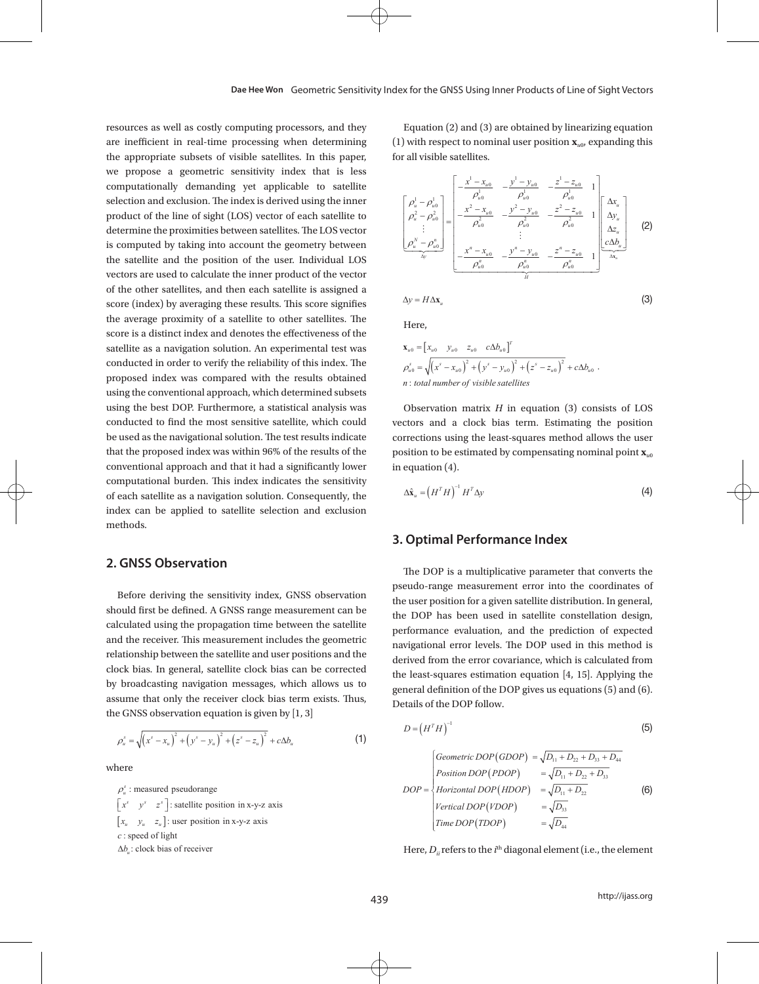*uxyz*  $\frac{1}{2}$ 

resources as well as costly computing processors, and they are inefficient in real-time processing when determining the appropriate subsets of visible satellites. In this paper, we propose a geometric sensitivity index that is less computationally demanding yet applicable to satellite selection and exclusion. The index is derived using the inner product of the line of sight (LOS) vector of each satellite to determine the proximities between satellites. The LOS vector is a computed by  $\mathbb{R}^n$  is computed by  $\mathbb{R}^n$ is computed by taking into account the geometry between the satellite and the position of the user. Individual LOS  $\frac{x^2 - x_{u0}}{a^u} - \frac{y^v - x_{u0}}{a^v}$ vectors are used to calculate the inner product of the vector  $\overline{a}$ of the other satellites, and then each satellite is assigned a score (index) by averaging these results. This score signifies  $\Delta y = H \Delta x_u$ the average proximity of a satellite to other satellites. The score is a score in the effective index and denotes the effective index and denotes the effective index and denotes the effective index and denotes the effectiv score is a distinct index and denotes the effectiveness of the satellite as a navigation solution. An experimental test was  $x_{u0} = [x_{u0} \quad y_{u0} \quad z_{u0} \quad c\Delta b_{u0}]^T$ conducted in order to verify the reliability of this index. The  $\rho_{u0}^s = \sqrt{(x^s - x_{u0})^2 + (y^s - y_{u0})^2 + (y^s - y_{u0})^2 + (y^s - y_{u0})^2 + (y^s - y_{u0})^2 + (y^s - y_{u0})^2 + (y^s - y_{u0})^2 + (y^s - y_{u0})^2 + (y^s - y_{u0})^2 + (y^s - y_{u0})^2 + (y^s - y_{u0})^2 + (y$ proposed index was compared with the results obtained using the conventional approach, which determined subsets using the conventional approach, which determined subsets using the best DOP. Furthermore, a statistical analysis was conducted to find the most sensitive satellite, which could be used as a clock bias term conducted to find the most sensitive satellite, which could be vectors and a clock bias term be used as the navigational solution. The test results indicate corrections using the least-squ that the proposed index was within 96% of the results of the represent the set conventional approach and that it had a significantly lower conventional approach and that it had a significantly lower in equation (4). computational burden. This index indicates the sensitivity  $\mathbb{R}^n$ of each satellite as a navigation solution. Consequently, the index can be applied to satellite selection and exclusion methods.

## **2. GNSS Observation**

Before deriving the sensitivity index, GNSS observation  $\frac{1}{\text{the user position for a given sat}}$ should first be defined. A GNSS range measurement can be calculated using the propagation time between the satellite and user positionship between the satellite and the receiver. This measurement includes the geometric  $\frac{1}{n}$  navigational error levels. The l relationship between the satellite and user positions and the clock bias. In general, satellite clock bias can be corrected the loss squares estimation of by broadcasting navigation messages, which allows us to assume that only the receiver clock bias term exists. Thus, the GNSS observation equation is given by [1, 3]

$$
\rho_u^s = \sqrt{(x^s - x_u)^2 + (y^s - y_u)^2 + (z^s - z_u)^2} + c\Delta b_u
$$
\n(1)

where where

 $[x_u \quad y_u \quad z_u]$ : user position in x-y-z axis  $\rho_u^s$ : measured pseudorange  $\begin{bmatrix} x^s & y^s & z^s \end{bmatrix}$ : satellite position in x-y-z axis : speed of light *c*  $\Delta b_u$ : clock bias of receiver

Equation (2) and (3) are obtained by linearizing equation (1) with respect to nominal user position  $\mathbf{x}_{u0}$ , expanding this for all visible satellites. 111 *uuu*

$$
\begin{bmatrix}\n\rho_u^1 - \rho_{u0}^1 \\
\rho_u^2 - \rho_{u0}^2 \\
\vdots \\
\rho_u^N - \rho_{u0}^n\n\end{bmatrix} = \begin{bmatrix}\n-\frac{x^1 - x_{u0}}{\rho_{u0}^1} & -\frac{y^1 - y_{u0}}{\rho_{u0}^1} & -\frac{z^1 - z_{u0}}{\rho_{u0}^1} & 1 \\
-\frac{x^2 - x_{u0}}{\rho_{u0}^2} & -\frac{y^2 - y_{u0}}{\rho_{u0}^2} & -\frac{z^2 - z_{u0}}{\rho_{u0}^2} & 1 \\
\vdots \\
-\frac{x^n - x_{u0}}{\rho_{u0}^n} & \vdots \\
-\frac{x^n - x_{u0}}{\rho_{u0}^n} & -\frac{y^n - y_{u0}}{\rho_{u0}^n} & -\frac{z^n - z_{u0}}{\rho_{u0}^n} & 1\n\end{bmatrix} \begin{bmatrix}\n\Delta x_u \\
\Delta y_u \\
\Delta z_u \\
\Delta z_u \\
\Delta z_u\n\end{bmatrix}
$$
\n(2)

(3)

$$
\Delta y = H \Delta x_u \tag{3}
$$

Here, Here, Here, *ss s s*

 $\Delta$ 

$$
\mathbf{x}_{u0} = \begin{bmatrix} x_{u0} & y_{u0} & z_{u0} & c\Delta b_{u0} \end{bmatrix}^T
$$
  
\n
$$
\rho_{u0}^s = \sqrt{(x^s - x_{u0})^2 + (y^s - y_{u0})^2 + (z^s - z_{u0})^2} + c\Delta b_{u0}.
$$
  
\n*n*: total number of visible satellites

corrections using the least-squares method allows the user position to be estimated by compensating nominal point  $\mathbf{x}_{u0}$  $\int_0^{\infty} \sqrt{(x^2 - x_{u0})^2 + (y^2 - y_{u0})^2 + (z^2 - z_{u0})^2 + c\Delta\theta_{u0}}$ .<br> *total number of visible satellites*<br>
bservation matrix *H* in equation (3) consists of LOS<br>
ors and a clock bias term. Estimating the position<br>
ections usin Observation matrix *H* in equation (3) consists of LOS  $vectors$  and a clock bias term. Estimating the position in equation (4).

$$
\Delta \hat{\mathbf{x}}_u = \left( H^T H \right)^{-1} H^T \Delta y \tag{4}
$$

#### $\frac{1}{2}$  Ontimal Berformance Index  $\mathcal{L}(\mathcal{A})$  and  $\mathcal{A}(\mathcal{A})$  are the set of the set of the set of the set of the set of the set of the set of the set of the set of the set of the set of the set of the set of the set of the set of the set of the set **3. Optimal Performance Index 3. Optimal Performance Index**

The DOP is a multiplicative parameter that converts the **NSS ODSETVATION** derived from the error covariance, which is calculated from pseudo-range measurement error into the coordinates of the user position for a given satellite distribution. In general, 6 navigational error levels. The DOP used in this method is the DOP has been used in satellite constellation design, performance evaluation, and the prediction of expected the least-squares estimation equation  $[4, 15]$ . Applying the general definition of the DOP gives us equations (5) and (6). Details of the DOP follow.

$$
D = \left(H^T H\right)^{-1}
$$
 (5)

$$
DOP = \begin{cases} \text{Geometric } DOP(\text{GDOP}) = \sqrt{D_{11} + D_{22} + D_{33} + D_{44}} \\ \text{Position } DOP(\text{PDOP}) = \sqrt{D_{11} + D_{22} + D_{33}} \\ \text{Horizontal } DOP(\text{HDOP}) = \sqrt{D_{11} + D_{22}} \\ \text{Vertical } DOP(\text{VDOP}) = \sqrt{D_{33}} \\ \text{Time } DOP(\text{TDOP}) = \sqrt{D_{44}} \end{cases} \tag{6}
$$

Here,  $D_{ii}$  refers to the  $i^{\rm th}$  diagonal element (i.e., the element

optimal criterion for both satellite selection and performance evaluation. In order to achieve and performance and performance and performance and performance and performance and performance and performance and performanc

optimal criterion for both satellite selection and performance evaluation. In order to achieve an

optimal satellite subset selection, it selects the satellite subset having the minimal DOP after

optimal satellite subset selection, it selects the satellite subset having the minimal DOP after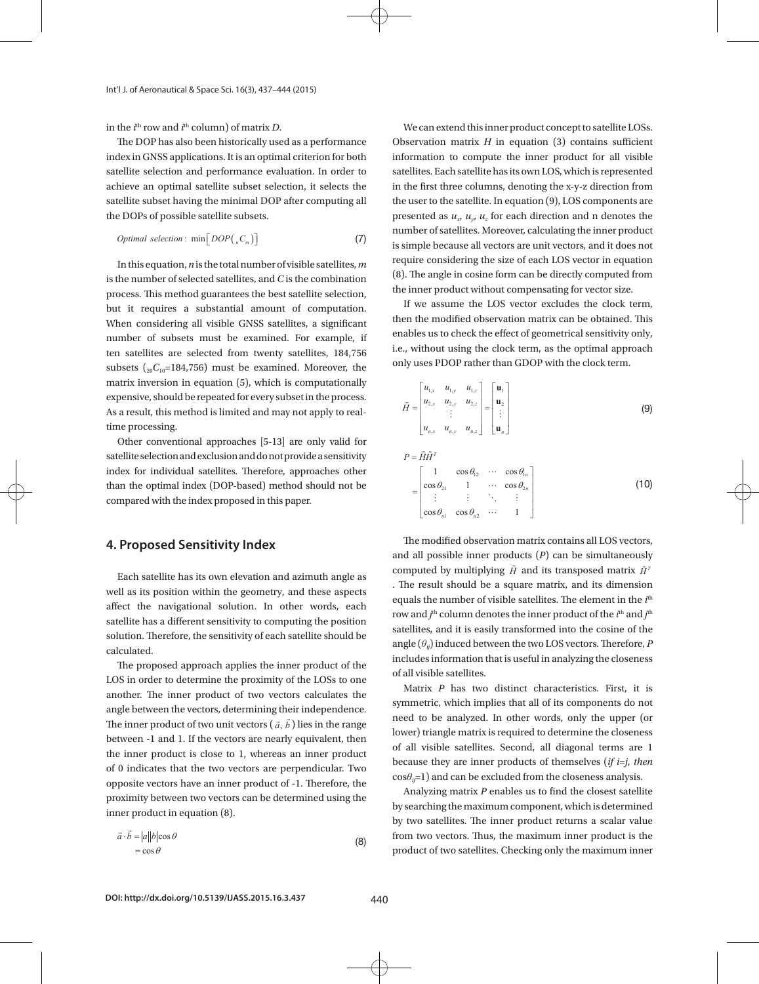in the  $i^{\text{th}}$  row and  $i^{\text{th}}$  column) of matrix *D*. We can extend this inner proor

The DOP has also been historically used as a performance  $\qquad$  Observation matrix  $H$  in equal index in GNSS applications. It is an optimal criterion for both satellite selection and performance evaluation. In order to satellites. Each satellite has its or achieve an optimal satellite subset selection, it selects the satellite subset having the minimal DOP after computing all the DOPs of possible satellite subsets.

*Optimal selection*: 
$$
\min[DOP(n, C_m)]
$$
 (7)

process. This method guarantees the best satellite selection,  $\qquad \qquad \text{the inner product without comp}$ but it requires a substantial amount of computation. If we assume the bos vect number of subsets must be examined. For example, if enables us to check the effect of ten satellites are selected from twenty satellites, 184,756 Le., williout using the clock ten ten control ten satellites. matrix inversion in equation (5), which is computationally  $\begin{bmatrix} u & u & 1 \\ v & \end{bmatrix}$ As a result, this method is limited and may not apply to real-<br> $\hat{H} = \begin{bmatrix} a_{2x} & a_{2y} & a_{2z} \\ \vdots & \vdots & \ddots \end{bmatrix} = \begin{bmatrix} a_2 \\ \vdots \end{bmatrix}$ In this equation,  $n$  is the total number of visible satellites,  $m$ is the number of selected satellites, and *C* is the combination When considering all visible GNSS satellites, a significant subsets  $\binom{1}{20}C_{10}$ =184,756) must be examined. Moreover, the matrix inversion in equation (5), which is computationally<br>expensive, should be repeated for every subset in the process. time processing. 1, 1, 1, 1 *xyz* er, the<br>
control of the process.<br>  $\tilde{H} = \begin{bmatrix} u_{1,x} \\ u_{2,x} \\ \end{bmatrix}$ *uuu*

Other conventional approaches [5-13] are only valid for satellite selection and exclusion and do not provide a sensitivity  $P = \tilde{H}\tilde{H}^T$ index for individual satellites. Therefore, approaches other than the optimal index (DOP-based) method should not be  $\cos\theta_{21}$ compared with the index proposed in this paper. ther conventional approaches [5-13] are only valid for **The I**  $P = \widetilde{H}\widetilde{H}^T$ <br> **T I**  $T = \cos \theta$  cos cos 1 cos cos 1 ther  $\begin{bmatrix} 1 & c \end{bmatrix}$  $\mathbf{a}$  , and the contract of  $\mathbf{a}$  $\cos \theta_{\rm o}$ 

#### **4. Proposed Sensitivity Index**

(DOP-based) method should not be compared with the index proposed in this paper.

Each satellite has its own elevation and azimuth angle as  $\frac{1}{\epsilon}$ well as its position within the geometry, and these aspects affect the navigational solution. In other words, each satellite has a different sensitivity to computing the position solution. Therefore, the sensitivity of each satellite should be calculated.

The proposed approach applies the inner product of the the calculates information that is use LOS in order to determine the proximity of the LOSs to one another. The inner product of two vectors calculates the symmetric, which implies that angle between the vectors, determining their independence. The inner product of two unit vectors  $(\vec{a}, \vec{b})$  lies in the range hered to be analyzed. In other the inner product is close to 1, whereas an inner product of 0 indicates that the two vectors are perpendicular. Two<br> $cos\theta_{n=1}$  and can be excluded find proximity between two vectors can be determined using the between  $-1$  and 1. If the vectors are nearly equivalent, then  $\frac{1}{\sigma}$  of  $\frac{1}{\sigma}$  indicates the second opposite vectors have an inner product of -1. Therefore, the inner product in equation (8).

$$
\vec{a} \cdot \vec{b} = |a||b|\cos\theta
$$
from two vectors. Thus, the maximum probability of two satellites. Check

(7) is simple because all vectors are unit vectors, and it does not We can extend this inner product concept to satellite LOSs. Observation matrix  $H$  in equation  $(3)$  contains sufficient information to compute the inner product for all visible satellites. Each satellite has its own LOS, which is represented in the first three columns, denoting the x-y-z direction from the user to the satellite. In equation (9), LOS components are presented as  $u_x$ ,  $u_y$ ,  $u_z$  for each direction and n denotes the number of satellites. Moreover, calculating the inner product  $r_{\text{ifes } m}$  require considering the size of each LOS vector in equation  $\mu$  (8). The angle in cosine form can be directly computed from the inner product without compensating for vector size.

nutation If we assume the LOS vector excludes the clock term, then the modified observation matrix can be obtained. This enables us to check the effect of geometrical sensitivity only, i.e., without using the clock term, as the optimal approach only uses PDOP rather than GDOP with the clock term. gnificant the chounted observation matrix can be obtained. This

the

\nally

\ness.

\n
$$
\tilde{H} = \begin{bmatrix} u_{1,x} & u_{1,y} & u_{1,z} \\ u_{2,x} & u_{2,y} & u_{2,z} \\ \vdots & \vdots & \vdots \\ u_{n,x} & u_{n,y} & u_{n,z} \end{bmatrix} = \begin{bmatrix} \mathbf{u}_1 \\ \mathbf{u}_2 \\ \vdots \\ \mathbf{u}_n \end{bmatrix}
$$
\n(9)

 $\cos \theta_{21}$  1  $\cdots$   $\cos \theta_{2n}$ 

Bernard Barbara (B  $\cdots$ 

 $\cos \theta_{n1} \quad \cos \theta_{n2} \quad \cdots \quad 1$ 

 $\begin{bmatrix} \cos \theta_{n1} & \cos \theta_{n2} & \cdots & 1 \end{bmatrix}$ 

 $\ldots$ 

 $\equiv$ 

 $=$ 

=1

 $(10)$  $\begin{bmatrix} 1 & \cos \theta_{12} & \cdots & \cos \theta_{1n} \end{bmatrix}$  $(10)$ (10)

 $\sum_{n=1}^{\infty}$  and all possible inner products  $(P)$  can be simultaneously  $\epsilon$  as its position within the geometry, and these aspects<br> $\epsilon$  equals the number of visible satellites. The element in the  $i^{\text{th}}$  $\alpha$  angle  $(\theta_{ij})$  induced between the two LOS vectors. Therefore, P . The result should be a square matrix, and its dimension is, each<br>november 2<sup>th</sup> column denotes the inner product of the  $i^{\text{th}}$  and  $j^{\text{th}}$ satellites, and it is easily transformed into the cosine of the includes information that is useful in analyzing the closeness  $\frac{1}{2}$  computed by multiplying  $\tilde{H}$  and its transposed matrix  $\tilde{H}^T$ The modified observation matrix contains all LOS vectors, nct of the closeness of all visible satellites.

to one<br>the Matrix P has two distinct characteristics. First, it is symmetric, which implies that all of its components do not ne range<br>ent then lower) triangle matrix is required to determine the closeness of all visible satellites. Second, all diagonal terms are 1  $cos\theta_{ij}=1$ ) and can be excluded from the closeness analysis. endence.<br>help need to be analyzed. In other words, only the upper (or  $\frac{1}{2}$  because they are inner products of themselves (*if i=j, then* 

ting the by searching the maximum component, which is determined by two satellites. The inner product returns a scalar value product of two satellites. Checking only the maximum inner  $\sum_{(p)}$  from two vectors. Thus, the maximum inner product is the Analyzing matrix *P* enables us to find the closest satellite

contains sufficient information to compute the inner product for all visible satellites. Each satellite has

its own LOS, which is represented in the first three columns, denoting the  $\mathcal{L}$ 

user to the satellite. In equation (9), LOS components are presented as , , *<sup>x</sup> y z uuu* for each direction and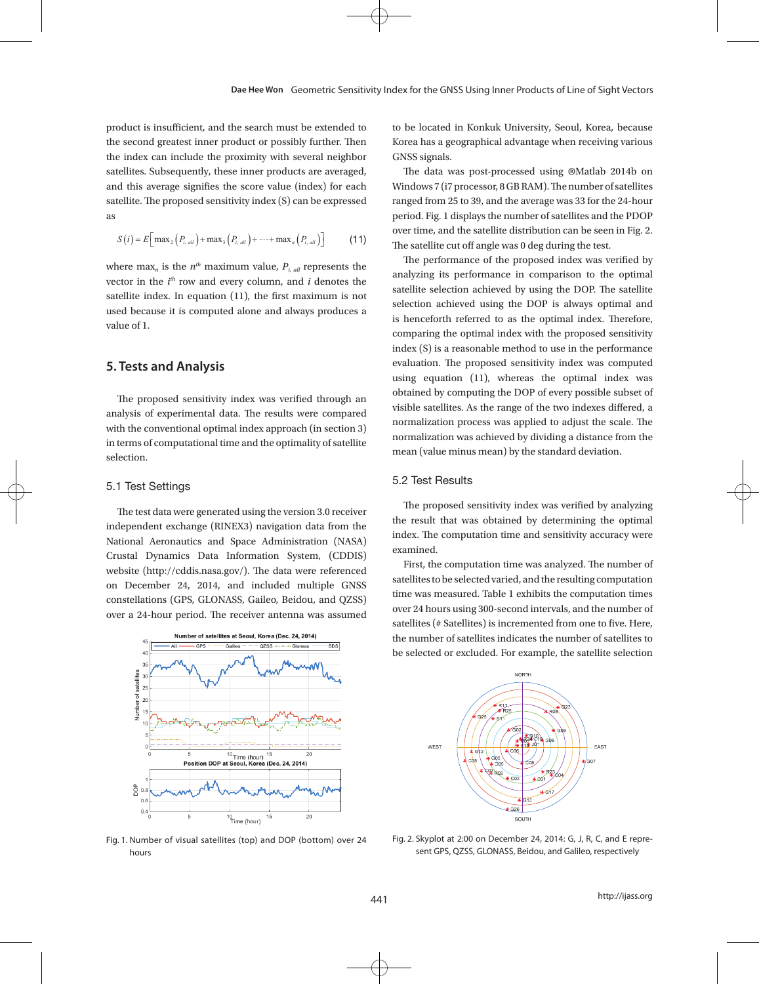product is insufficient, and the search must be extended to to be located in Konkuk Univer the second greatest inner product or possibly further. Then the index a geographical advartion  $\mathbf x$ the index can include the proximity with several neighbor satellites. Subsequently, these inner products are averaged, The data was post-processe and this average signifies the score value (index) for each  $\sim$ satellite. The proposed sensitivity index (S) can be expressed as

$$
S(i) = E\left[\max_{2} \left(P_{i, \text{all}}\right) + \max_{3} \left(P_{i, \text{all}}\right) + \dots + \max_{n} \left(P_{i, \text{all}}\right)\right] \tag{11}
$$

where may *n*<sub>the</sub> *n*<sub>the *n*</sub> is the analytics of the vector in the *i*<sup>s</sup> column, and *i* denotes the satellite index. In equation (11), the first maximum is not *i* value of 1. where max<sub>n</sub> is the  $n^{th}$  maximum value,  $P_{i, all}$  represents the vector in the  $i<sup>th</sup>$  row and every column, and *i* denotes the used because it is computed alone and always produces a

#### **5. Tests and Analysis**

analysis of experimental data. The results were compared visible satellites. As the range of with the conventional optimal index approach (in section 3) in terms of conventional optimal index approach (in section 3) selection. The proposed sensitivity index was verified through an in terms of computational time and the optimality of satellite

#### 5.1 Test Settings

independent exchange (RINEX3) navigation data from the the result that was obtained National Aeronautics and Space Administration (NASA) arrived the Companion dine and Space Administration (NASA) website (http://cddis.nasa.gov/). The data were referenced and the computation time over a 24-hour period. The receiver antenna was assumed over 24 hours using 500-second The test data were generated using the version 3.0 receiver Crustal Dynamics Data Information System, (CDDIS) on December 24, 2014, and included multiple GNSS constellations (GPS, GLONASS, Gaileo, Beidou, and QZSS)



 $F_{\rm 1.500}$ Fig. 1. Number of visual satellites (top) and DOP (bottom) over 24 hours

to be located in Konkuk University, Seoul, Korea, because Korea has a geographical advantage when receiving various GNSS signals.

 $S(i) = E\left[\max_2 (P_{i, all}) + \max_3 (P_{i, all}) + \dots + \max_n (P_{i, all})\right]$  (11) The satellite cut off angle was 0 deg during the test. The data was post-processed using ® Matlab 2014b on Windows 7 (i7 processor, 8 GB RAM). The number of satellites ranged from 25 to 39, and the average was 33 for the 24-hour period. Fig. 1 displays the number of satellites and the PDOP over time, and the satellite distribution can be seen in Fig. 2.

satellite selection achieved by using the DOP. The satellite  $\frac{1}{2}$  is henceforth referred to as the optimal index. Therefore, The performance of the proposed index was verified by analyzing its performance in comparison to the optimal selection achieved using the DOP is always optimal and comparing the optimal index with the proposed sensitivity index (S) is a reasonable method to use in the performance evaluation. The proposed sensitivity index was computed using equation (11), whereas the optimal index was obtained by computing the DOP of every possible subset of visible satellites. As the range of the two indexes differed, a normalization process was applied to adjust the scale. The normalization was achieved by dividing a distance from the mean (value minus mean) by the standard deviation.

#### 5.2 Test Results

The proposed sensitivity index was verified by analyzing the result that was obtained by determining the optimal index. The computation time and sensitivity accuracy were examined.

 $\overline{C}$  constructed multiple GNSS constructed multiple GNSS constructed multiple  $\overline{C}$  constructed multiple  $\overline{C}$  constructed multiple  $\overline{C}$  constructed multiple  $\overline{C}$  constructed multiple  $\overline{C}$  constructe  $\frac{1}{45}$  Number of satellites at Seoul, Korea (Dec. 24, 2014) the number of satellites indicates the number of satellites to First, the computation time was analyzed. The number of satellites to be selected varied, and the resulting computation over 24 hours using 300-second intervals, and the number of satellites (# Satellites) is incremented from one to five. Here, be selected or excluded. For example, the satellite selection



24 Fig. 2. Skyplot at 2:00 on December 24, 2014: G, J, R, C, and E represent GPS, QZSS, GLONASS, Beidou, and Galileo, respectively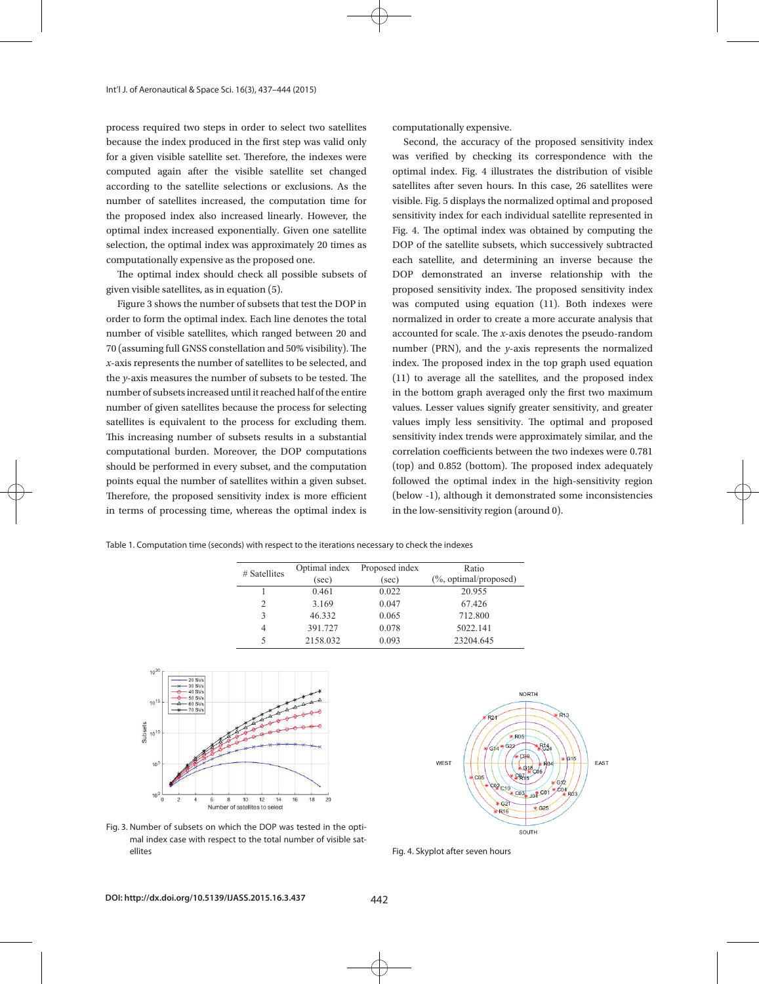process required two steps in order to select two satellites because the index produced in the first step was valid only for a given visible satellite set. Therefore, the indexes were computed again after the visible satellite set changed according to the satellite selections or exclusions. As the number of satellites increased, the computation time for the proposed index also increased linearly. However, the optimal index increased exponentially. Given one satellite selection, the optimal index was approximately 20 times as computationally expensive as the proposed one. produced in the first step was valid only second, the accuracy of the proposed sensitivity index

The optimal index should check all possible subsets of given visible satellites, as in equation (5).

Figure 3 shows the number of subsets that test the DOP in order to form the optimal index. Each line denotes the total number of visible satellites, which ranged between 20 and 70 (assuming full GNSS constellation and 50% visibility). The *x*-axis represents the number of satellites to be selected, and the *y*-axis measures the number of subsets to be tested. The number of subsets increased until it reached half of the entire number of given satellites because the process for selecting satellites is equivalent to the process for excluding them. This increasing number of subsets results in a substantial computational burden. Moreover, the DOP computations should be performed in every subset, and the computation (top points equal the number of satellites within a given subset. [60] Therefore, the proposed sensitivity index is more efficient (bel in terms of processing time, whereas the optimal index is in the subsets of  $\mu$ optimal index was approximately 20 times as computationally expensive as the proposed one.

computationally expensive.

satellite set. Therefore, the indexes were was verified by checking its correspondence with the optimal index. Fig. 4 illustrates the distribution of visible atellite selections or exclusions. As the satellites after seven hours. In this case, 26 satellites were visible. Fig. 5 displays the normalized optimal and proposed sensitivity index for each individual satellite represented in Fig. 4. The optimal index was obtained by computing the DOP of the satellite subsets, which successively subtracted each satellite, and determining an inverse because the proposed one.<br>The proposed index was verified by analyzing the result of results that was obtained by analyzing the result of DOP demonstrated an inverse relationship with the tes, as in equation (5). The optimal index optimal index are examined. The proposed sensitivity index and sensitivity and sensitivity index. number of subsets that test the DOP in was computed using equation (11). Both indexes were normalized in order to create a more accurate analysis that satellites, which ranged between 20 and accounted for scale. The *x*-axis denotes the pseudo-random NSS constellation and 50% visibility). The number (PRN), and the *y*-axis represents the normalized index. The proposed index in the top graph used equation s the number of subsets to be tested. The (11) to average all the satellites, and the proposed index increased until it reached half of the entire  $\qquad\qquad$  in the bottom graph averaged only the first two maximum values. Lesser values signify greater sensitivity, and greater lent to the process for excluding them. values imply less sensitivity. The optimal and proposed mber of subsets results in a substantial sensitivity index trends were approximately similar, and the correlation coefficients between the two indexes were 0.781 ed in every subset, and the computation (top) and 0.852 (bottom). The proposed index adequately umber of satellites within a given subset. Infollowed the optimal index in the high-sensitivity region because the DOP demonstrated some inconsistencies (below -1), although it demonstrated some inconsistencies is in the low-sensitivity region (around 0).

Table 1. Computation time (seconds) with respect to the iterations necessary to check the indexes

| # Satellites | Optimal index | Proposed index | Ratio                     |
|--------------|---------------|----------------|---------------------------|
|              | (sec)         | (sec)          | $(\%$ , optimal/proposed) |
|              | 0.461         | 0.022          | 20.955                    |
|              | 3.169         | 0.047          | 67.426                    |
|              | 46.332        | 0.065          | 712.800                   |
| 4            | 391.727       | 0.078          | 5022.141                  |
|              | 2158.032      | 0.093          | 23204.645                 |





Fig. 3. Number of subsets on which the DOP was tested in the optimal index case with respect to the total number of visible satellites

Fig. 4. Skyplot after seven hours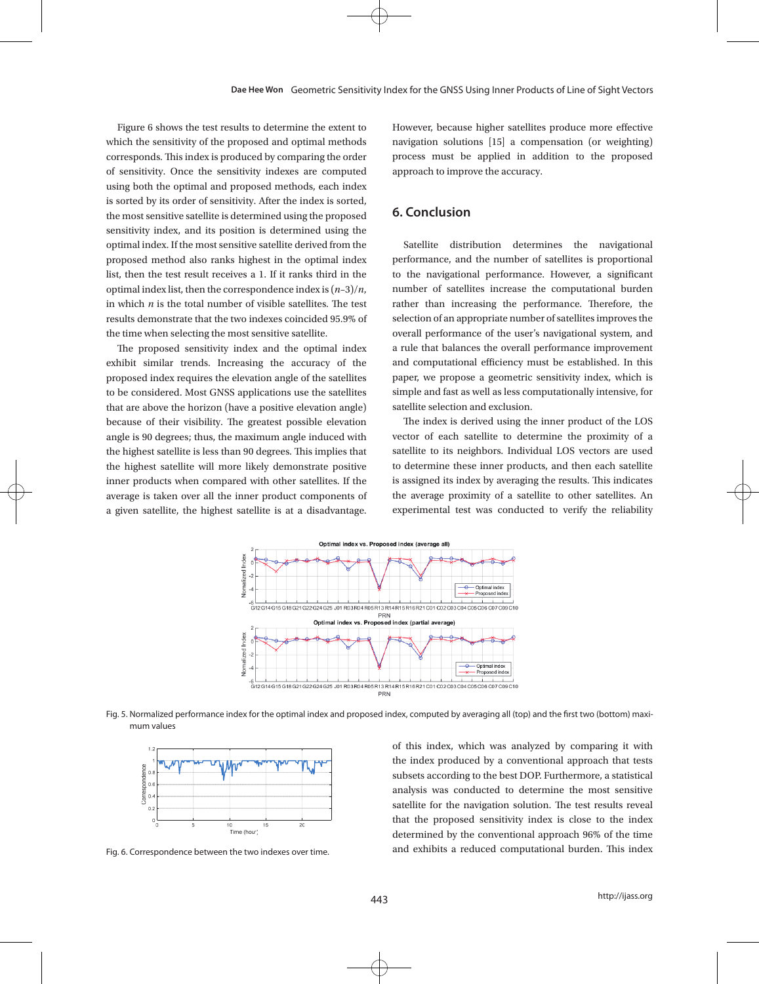Figure 6 shows the test results to determine the extent to which the sensitivity of the proposed and optimal methods corresponds. This index is produced by comparing the order of sensitivity. Once the sensitivity indexes are computed using both the optimal and proposed methods, each index is sorted by its order of sensitivity. After the index is sorted, the most sensitive satellite is determined using the proposed sensitivity index, and its position is determined using the optimal index. If the most sensitive satellite derived from the proposed method also ranks highest in the optimal index list, then the test result receives a 1. If it ranks third in the optimal index list, then the correspondence index is  $(n-3)/n$ , in which *n* is the total number of visible satellites. The test results demonstrate that the two indexes coincided 95.9% of the time when selecting the most sensitive satellite.

The proposed sensitivity index and the optimal index exhibit similar trends. Increasing the accuracy of the proposed index requires the elevation angle of the satellites to be considered. Most GNSS applications use the satellites that are above the horizon (have a positive elevation angle) because of their visibility. The greatest possible elevation angle is 90 degrees; thus, the maximum angle induced with the highest satellite is less than 90 degrees. This implies that the highest satellite will more likely demonstrate positive inner products when compared with other satellites. If the average is taken over all the inner product components of a given satellite, the highest satellite is at a disadvantage.

However, because higher satellites produce more effective navigation solutions [15] a compensation (or weighting) process must be applied in addition to the proposed approach to improve the accuracy.

### **6. Conclusion**

Satellite distribution determines the navigational performance, and the number of satellites is proportional to the navigational performance. However, a significant number of satellites increase the computational burden rather than increasing the performance. Therefore, the selection of an appropriate number of satellites improves the overall performance of the user's navigational system, and a rule that balances the overall performance improvement and computational efficiency must be established. In this paper, we propose a geometric sensitivity index, which is simple and fast as well as less computationally intensive, for satellite selection and exclusion.

The index is derived using the inner product of the LOS vector of each satellite to determine the proximity of a satellite to its neighbors. Individual LOS vectors are used to determine these inner products, and then each satellite is assigned its index by averaging the results. This indicates the average proximity of a satellite to other satellites. An experimental test was conducted to verify the reliability



Fig. 5. Normalized performance index for the optimal index and proposed index, computed by averaging all (top) and the first two (bottom) maximum values



Fig. 6. Correspondence between the two indexes over time.

of this index, which was analyzed by comparing it with the index produced by a conventional approach that tests  $\mathbf{F}^{\text{tr}}$  subsets according to the best DOP. Furthermore, a statistical optimal methods conducted to determine the most sensitive exponent of sensitivity. This is produced by comparing the order of sensitivity. This is produced by comparing the order of sensitivity. Once the order of sensitivi satellite for the navigation solution. The test results reveal that the proposed sensitivity index is close to the index  $\frac{10}{\text{Time (hour)}}$  is  $\frac{20}{\text{Time (hour)}}$  determined by the conventional approach 96% of the time een the two indexes over time. This index and exhibits a reduced computational burden. This index